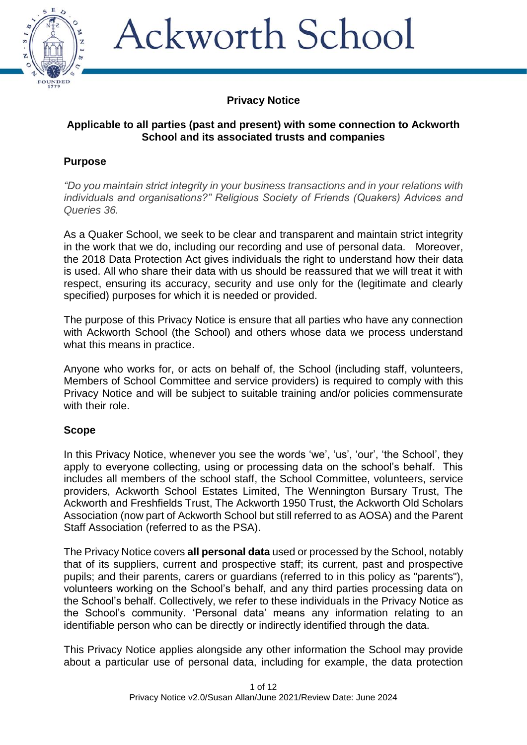

### **Privacy Notice**

### **Applicable to all parties (past and present) with some connection to Ackworth School and its associated trusts and companies**

### **Purpose**

*"Do you maintain strict integrity in your business transactions and in your relations with individuals and organisations?" Religious Society of Friends (Quakers) Advices and Queries 36.*

As a Quaker School, we seek to be clear and transparent and maintain strict integrity in the work that we do, including our recording and use of personal data. Moreover, the 2018 Data Protection Act gives individuals the right to understand how their data is used. All who share their data with us should be reassured that we will treat it with respect, ensuring its accuracy, security and use only for the (legitimate and clearly specified) purposes for which it is needed or provided.

The purpose of this Privacy Notice is ensure that all parties who have any connection with Ackworth School (the School) and others whose data we process understand what this means in practice.

Anyone who works for, or acts on behalf of, the School (including staff, volunteers, Members of School Committee and service providers) is required to comply with this Privacy Notice and will be subject to suitable training and/or policies commensurate with their role.

### **Scope**

In this Privacy Notice, whenever you see the words 'we', 'us', 'our', 'the School', they apply to everyone collecting, using or processing data on the school's behalf. This includes all members of the school staff, the School Committee, volunteers, service providers, Ackworth School Estates Limited, The Wennington Bursary Trust, The Ackworth and Freshfields Trust, The Ackworth 1950 Trust, the Ackworth Old Scholars Association (now part of Ackworth School but still referred to as AOSA) and the Parent Staff Association (referred to as the PSA).

The Privacy Notice covers **all personal data** used or processed by the School, notably that of its suppliers, current and prospective staff; its current, past and prospective pupils; and their parents, carers or guardians (referred to in this policy as "parents"), volunteers working on the School's behalf, and any third parties processing data on the School's behalf. Collectively, we refer to these individuals in the Privacy Notice as the School's community. 'Personal data' means any information relating to an identifiable person who can be directly or indirectly identified through the data.

This Privacy Notice applies alongside any other information the School may provide about a particular use of personal data, including for example, the data protection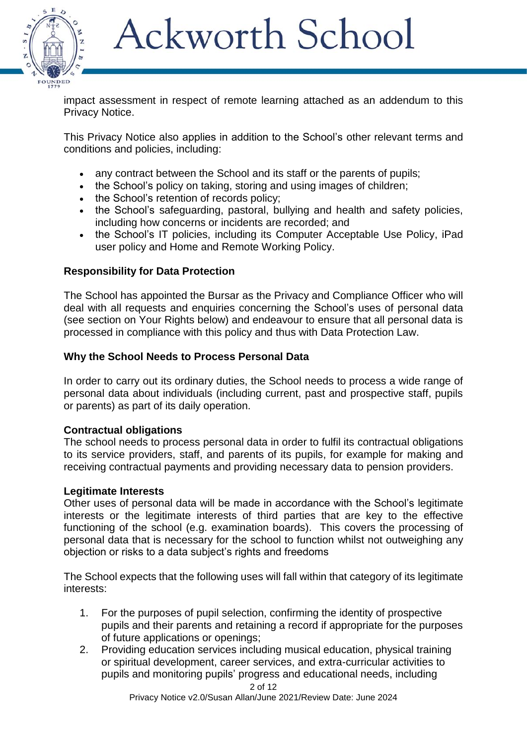

impact assessment in respect of remote learning attached as an addendum to this Privacy Notice.

This Privacy Notice also applies in addition to the School's other relevant terms and conditions and policies, including:

- any contract between the School and its staff or the parents of pupils;
- the School's policy on taking, storing and using images of children;
- the School's retention of records policy;
- the School's safeguarding, pastoral, bullying and health and safety policies, including how concerns or incidents are recorded; and
- the School's IT policies, including its Computer Acceptable Use Policy, iPad user policy and Home and Remote Working Policy.

### **Responsibility for Data Protection**

The School has appointed the Bursar as the Privacy and Compliance Officer who will deal with all requests and enquiries concerning the School's uses of personal data (see section on Your Rights below) and endeavour to ensure that all personal data is processed in compliance with this policy and thus with Data Protection Law.

### **Why the School Needs to Process Personal Data**

In order to carry out its ordinary duties, the School needs to process a wide range of personal data about individuals (including current, past and prospective staff, pupils or parents) as part of its daily operation.

### **Contractual obligations**

The school needs to process personal data in order to fulfil its contractual obligations to its service providers, staff, and parents of its pupils, for example for making and receiving contractual payments and providing necessary data to pension providers.

### **Legitimate Interests**

Other uses of personal data will be made in accordance with the School's legitimate interests or the legitimate interests of third parties that are key to the effective functioning of the school (e.g. examination boards). This covers the processing of personal data that is necessary for the school to function whilst not outweighing any objection or risks to a data subject's rights and freedoms

The School expects that the following uses will fall within that category of its legitimate interests:

- 1. For the purposes of pupil selection, confirming the identity of prospective pupils and their parents and retaining a record if appropriate for the purposes of future applications or openings;
- 2. Providing education services including musical education, physical training or spiritual development, career services, and extra-curricular activities to pupils and monitoring pupils' progress and educational needs, including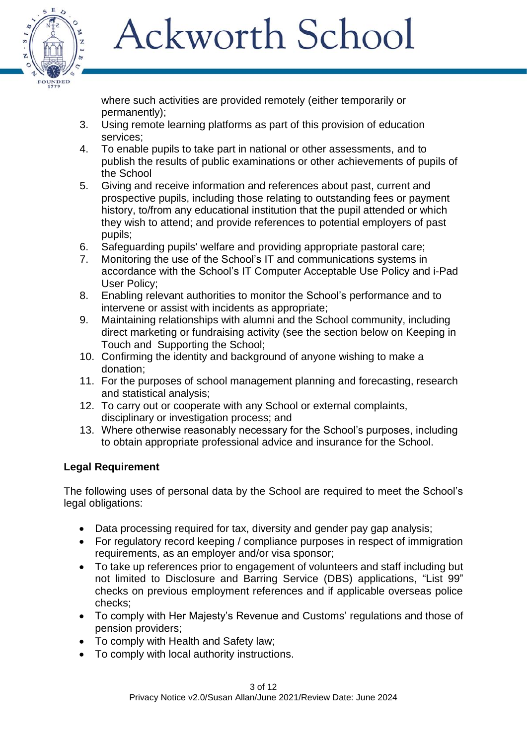

where such activities are provided remotely (either temporarily or permanently);

- 3. Using remote learning platforms as part of this provision of education services;
- 4. To enable pupils to take part in national or other assessments, and to publish the results of public examinations or other achievements of pupils of the School
- 5. Giving and receive information and references about past, current and prospective pupils, including those relating to outstanding fees or payment history, to/from any educational institution that the pupil attended or which they wish to attend; and provide references to potential employers of past pupils;
- 6. Safeguarding pupils' welfare and providing appropriate pastoral care;
- 7. Monitoring the use of the School's IT and communications systems in accordance with the School's IT Computer Acceptable Use Policy and i-Pad User Policy;
- 8. Enabling relevant authorities to monitor the School's performance and to intervene or assist with incidents as appropriate;
- 9. Maintaining relationships with alumni and the School community, including direct marketing or fundraising activity (see the section below on Keeping in Touch and Supporting the School;
- 10. Confirming the identity and background of anyone wishing to make a donation;
- 11. For the purposes of school management planning and forecasting, research and statistical analysis;
- 12. To carry out or cooperate with any School or external complaints, disciplinary or investigation process; and
- 13. Where otherwise reasonably necessary for the School's purposes, including to obtain appropriate professional advice and insurance for the School.

### **Legal Requirement**

The following uses of personal data by the School are required to meet the School's legal obligations:

- Data processing required for tax, diversity and gender pay gap analysis;
- For regulatory record keeping / compliance purposes in respect of immigration requirements, as an employer and/or visa sponsor;
- To take up references prior to engagement of volunteers and staff including but not limited to Disclosure and Barring Service (DBS) applications, "List 99" checks on previous employment references and if applicable overseas police checks;
- To comply with Her Majesty's Revenue and Customs' regulations and those of pension providers;
- To comply with Health and Safety law;
- To comply with local authority instructions.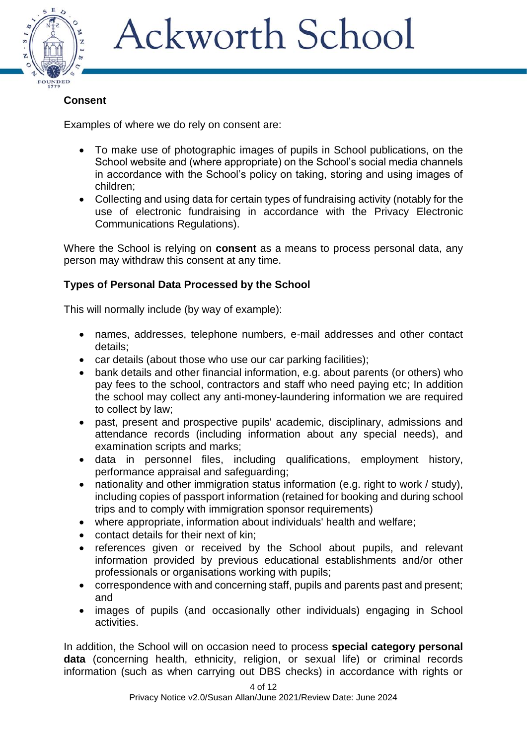

### **Consent**

Examples of where we do rely on consent are:

- To make use of photographic images of pupils in School publications, on the School website and (where appropriate) on the School's social media channels in accordance with the School's policy on taking, storing and using images of children;
- Collecting and using data for certain types of fundraising activity (notably for the use of electronic fundraising in accordance with the Privacy Electronic Communications Regulations).

Where the School is relying on **consent** as a means to process personal data, any person may withdraw this consent at any time.

### **Types of Personal Data Processed by the School**

This will normally include (by way of example):

- names, addresses, telephone numbers, e-mail addresses and other contact details;
- car details (about those who use our car parking facilities);
- bank details and other financial information, e.g. about parents (or others) who pay fees to the school, contractors and staff who need paying etc; In addition the school may collect any anti-money-laundering information we are required to collect by law;
- past, present and prospective pupils' academic, disciplinary, admissions and attendance records (including information about any special needs), and examination scripts and marks;
- data in personnel files, including qualifications, employment history, performance appraisal and safeguarding;
- nationality and other immigration status information (e.g. right to work / study), including copies of passport information (retained for booking and during school trips and to comply with immigration sponsor requirements)
- where appropriate, information about individuals' health and welfare;
- contact details for their next of kin;
- references given or received by the School about pupils, and relevant information provided by previous educational establishments and/or other professionals or organisations working with pupils;
- correspondence with and concerning staff, pupils and parents past and present; and
- images of pupils (and occasionally other individuals) engaging in School activities.

In addition, the School will on occasion need to process **special category personal data** (concerning health, ethnicity, religion, or sexual life) or criminal records information (such as when carrying out DBS checks) in accordance with rights or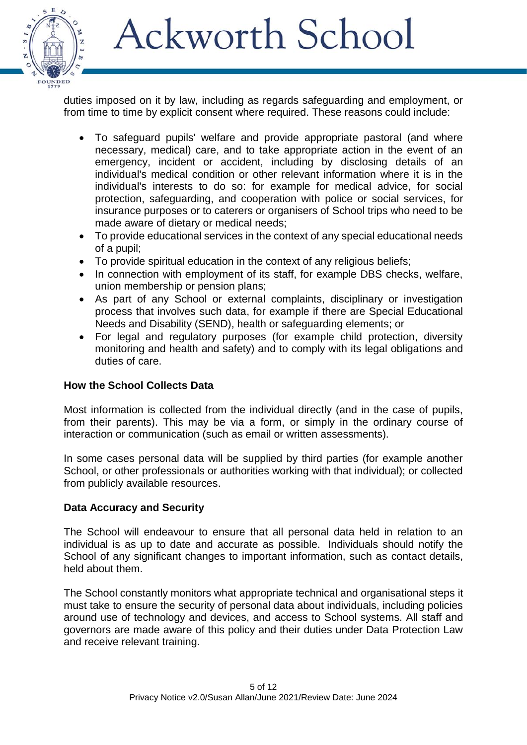

duties imposed on it by law, including as regards safeguarding and employment, or from time to time by explicit consent where required. These reasons could include:

- To safeguard pupils' welfare and provide appropriate pastoral (and where necessary, medical) care, and to take appropriate action in the event of an emergency, incident or accident, including by disclosing details of an individual's medical condition or other relevant information where it is in the individual's interests to do so: for example for medical advice, for social protection, safeguarding, and cooperation with police or social services, for insurance purposes or to caterers or organisers of School trips who need to be made aware of dietary or medical needs;
- To provide educational services in the context of any special educational needs of a pupil;
- To provide spiritual education in the context of any religious beliefs;
- In connection with employment of its staff, for example DBS checks, welfare, union membership or pension plans;
- As part of any School or external complaints, disciplinary or investigation process that involves such data, for example if there are Special Educational Needs and Disability (SEND), health or safeguarding elements; or
- For legal and regulatory purposes (for example child protection, diversity monitoring and health and safety) and to comply with its legal obligations and duties of care.

### **How the School Collects Data**

Most information is collected from the individual directly (and in the case of pupils, from their parents). This may be via a form, or simply in the ordinary course of interaction or communication (such as email or written assessments).

In some cases personal data will be supplied by third parties (for example another School, or other professionals or authorities working with that individual); or collected from publicly available resources.

### **Data Accuracy and Security**

The School will endeavour to ensure that all personal data held in relation to an individual is as up to date and accurate as possible. Individuals should notify the School of any significant changes to important information, such as contact details, held about them.

The School constantly monitors what appropriate technical and organisational steps it must take to ensure the security of personal data about individuals, including policies around use of technology and devices, and access to School systems. All staff and governors are made aware of this policy and their duties under Data Protection Law and receive relevant training.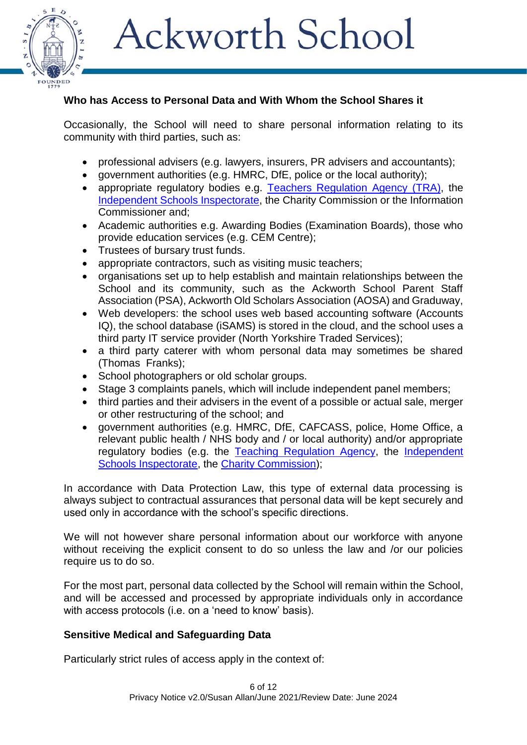

#### **Who has Access to Personal Data and With Whom the School Shares it**

Occasionally, the School will need to share personal information relating to its community with third parties, such as:

- professional advisers (e.g. lawyers, insurers, PR advisers and accountants);
- government authorities (e.g. HMRC, DfE, police or the local authority);
- appropriate regulatory bodies e.g. [Teachers Regulation Ag](https://www.gov.uk/government/organisations/national-college-for-teaching-and-leadership)ency (TRA), the [Independent Schools Inspectorate,](https://www.isi.net/) the Charity Commission or the Information Commissioner and;
- Academic authorities e.g. Awarding Bodies (Examination Boards), those who provide education services (e.g. CEM Centre);
- Trustees of bursary trust funds.
- appropriate contractors, such as visiting music teachers;
- organisations set up to help establish and maintain relationships between the School and its community, such as the Ackworth School Parent Staff Association (PSA), Ackworth Old Scholars Association (AOSA) and Graduway,
- Web developers: the school uses web based accounting software (Accounts IQ), the school database (iSAMS) is stored in the cloud, and the school uses a third party IT service provider (North Yorkshire Traded Services);
- a third party caterer with whom personal data may sometimes be shared (Thomas Franks);
- School photographers or old scholar groups.
- Stage 3 complaints panels, which will include independent panel members;
- third parties and their advisers in the event of a possible or actual sale, merger or other restructuring of the school; and
- government authorities (e.g. HMRC, DfE, CAFCASS, police, Home Office, a relevant public health / NHS body and / or local authority) and/or appropriate regulatory bodies (e.g. the [Teaching Regulation Agency,](https://www.gov.uk/government/organisations/teaching-regulation-agency) the Independent [Schools Inspectorate,](https://www.isi.net/) the [Charity Commission\)](https://www.gov.uk/government/organisations/charity-commission);

In accordance with Data Protection Law, this type of external data processing is always subject to contractual assurances that personal data will be kept securely and used only in accordance with the school's specific directions.

We will not however share personal information about our workforce with anyone without receiving the explicit consent to do so unless the law and /or our policies require us to do so.

For the most part, personal data collected by the School will remain within the School, and will be accessed and processed by appropriate individuals only in accordance with access protocols (i.e. on a 'need to know' basis).

### **Sensitive Medical and Safeguarding Data**

Particularly strict rules of access apply in the context of: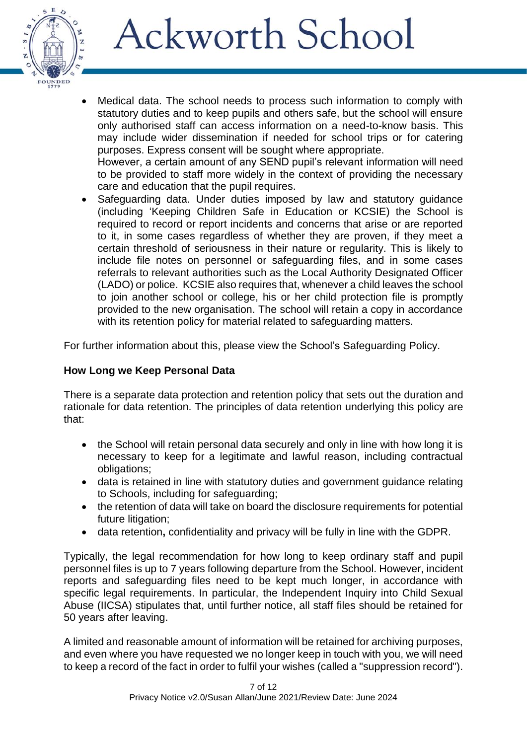

• Medical data. The school needs to process such information to comply with statutory duties and to keep pupils and others safe, but the school will ensure only authorised staff can access information on a need-to-know basis. This may include wider dissemination if needed for school trips or for catering purposes. Express consent will be sought where appropriate.

However, a certain amount of any SEND pupil's relevant information will need to be provided to staff more widely in the context of providing the necessary care and education that the pupil requires.

 Safeguarding data. Under duties imposed by law and statutory guidance (including 'Keeping Children Safe in Education or KCSIE) the School is required to record or report incidents and concerns that arise or are reported to it, in some cases regardless of whether they are proven, if they meet a certain threshold of seriousness in their nature or regularity. This is likely to include file notes on personnel or safeguarding files, and in some cases referrals to relevant authorities such as the Local Authority Designated Officer (LADO) or police. KCSIE also requires that, whenever a child leaves the school to join another school or college, his or her child protection file is promptly provided to the new organisation. The school will retain a copy in accordance with its retention policy for material related to safeguarding matters.

For further information about this, please view the School's Safeguarding Policy.

### **How Long we Keep Personal Data**

There is a separate data protection and retention policy that sets out the duration and rationale for data retention. The principles of data retention underlying this policy are that:

- the School will retain personal data securely and only in line with how long it is necessary to keep for a legitimate and lawful reason, including contractual obligations;
- data is retained in line with statutory duties and government guidance relating to Schools, including for safeguarding;
- the retention of data will take on board the disclosure requirements for potential future litigation;
- data retention**,** confidentiality and privacy will be fully in line with the GDPR.

Typically, the legal recommendation for how long to keep ordinary staff and pupil personnel files is up to 7 years following departure from the School. However, incident reports and safeguarding files need to be kept much longer, in accordance with specific legal requirements. In particular, the Independent Inquiry into Child Sexual Abuse (IICSA) stipulates that, until further notice, all staff files should be retained for 50 years after leaving.

A limited and reasonable amount of information will be retained for archiving purposes, and even where you have requested we no longer keep in touch with you, we will need to keep a record of the fact in order to fulfil your wishes (called a "suppression record").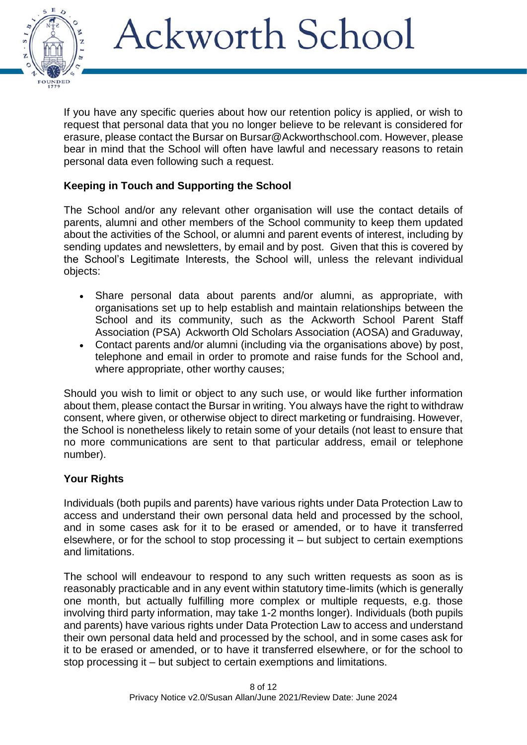

If you have any specific queries about how our retention policy is applied, or wish to request that personal data that you no longer believe to be relevant is considered for erasure, please contact the Bursar on Bursar@Ackworthschool.com. However, please bear in mind that the School will often have lawful and necessary reasons to retain personal data even following such a request.

### **Keeping in Touch and Supporting the School**

The School and/or any relevant other organisation will use the contact details of parents, alumni and other members of the School community to keep them updated about the activities of the School, or alumni and parent events of interest, including by sending updates and newsletters, by email and by post. Given that this is covered by the School's Legitimate Interests, the School will, unless the relevant individual objects:

- Share personal data about parents and/or alumni, as appropriate, with organisations set up to help establish and maintain relationships between the School and its community, such as the Ackworth School Parent Staff Association (PSA) Ackworth Old Scholars Association (AOSA) and Graduway,
- Contact parents and/or alumni (including via the organisations above) by post, telephone and email in order to promote and raise funds for the School and, where appropriate, other worthy causes;

Should you wish to limit or object to any such use, or would like further information about them, please contact the Bursar in writing. You always have the right to withdraw consent, where given, or otherwise object to direct marketing or fundraising. However, the School is nonetheless likely to retain some of your details (not least to ensure that no more communications are sent to that particular address, email or telephone number).

### **Your Rights**

Individuals (both pupils and parents) have various rights under Data Protection Law to access and understand their own personal data held and processed by the school, and in some cases ask for it to be erased or amended, or to have it transferred elsewhere, or for the school to stop processing it – but subject to certain exemptions and limitations.

The school will endeavour to respond to any such written requests as soon as is reasonably practicable and in any event within statutory time-limits (which is generally one month, but actually fulfilling more complex or multiple requests, e.g. those involving third party information, may take 1-2 months longer). Individuals (both pupils and parents) have various rights under Data Protection Law to access and understand their own personal data held and processed by the school, and in some cases ask for it to be erased or amended, or to have it transferred elsewhere, or for the school to stop processing it – but subject to certain exemptions and limitations.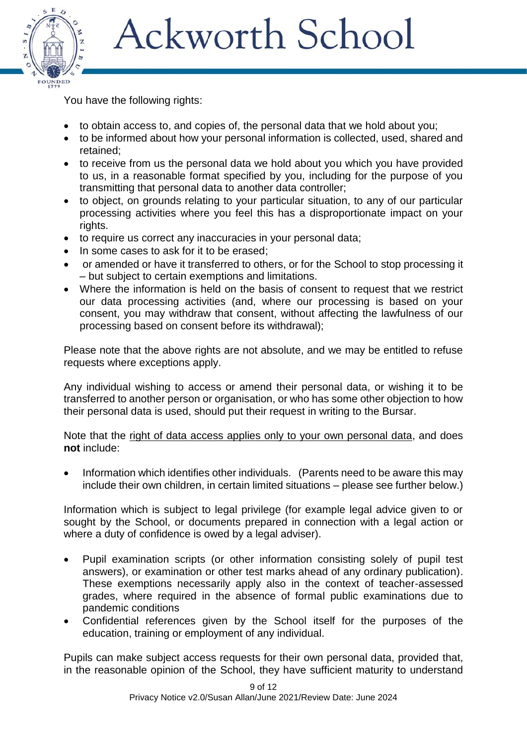

You have the following rights:

- to obtain access to, and copies of, the personal data that we hold about you;
- to be informed about how your personal information is collected, used, shared and retained;
- to receive from us the personal data we hold about you which you have provided to us, in a reasonable format specified by you, including for the purpose of you transmitting that personal data to another data controller;
- to object, on grounds relating to your particular situation, to any of our particular processing activities where you feel this has a disproportionate impact on your rights.
- to require us correct any inaccuracies in your personal data;
- In some cases to ask for it to be erased;
- or amended or have it transferred to others, or for the School to stop processing it – but subject to certain exemptions and limitations.
- Where the information is held on the basis of consent to request that we restrict our data processing activities (and, where our processing is based on your consent, you may withdraw that consent, without affecting the lawfulness of our processing based on consent before its withdrawal);

Please note that the above rights are not absolute, and we may be entitled to refuse requests where exceptions apply.

Any individual wishing to access or amend their personal data, or wishing it to be transferred to another person or organisation, or who has some other objection to how their personal data is used, should put their request in writing to the Bursar.

Note that the right of data access applies only to your own personal data, and does **not** include:

 Information which identifies other individuals. (Parents need to be aware this may include their own children, in certain limited situations – please see further below.)

Information which is subject to legal privilege (for example legal advice given to or sought by the School, or documents prepared in connection with a legal action or where a duty of confidence is owed by a legal adviser).

- Pupil examination scripts (or other information consisting solely of pupil test answers), or examination or other test marks ahead of any ordinary publication). These exemptions necessarily apply also in the context of teacher-assessed grades, where required in the absence of formal public examinations due to pandemic conditions
- Confidential references given by the School itself for the purposes of the education, training or employment of any individual.

Pupils can make subject access requests for their own personal data, provided that, in the reasonable opinion of the School, they have sufficient maturity to understand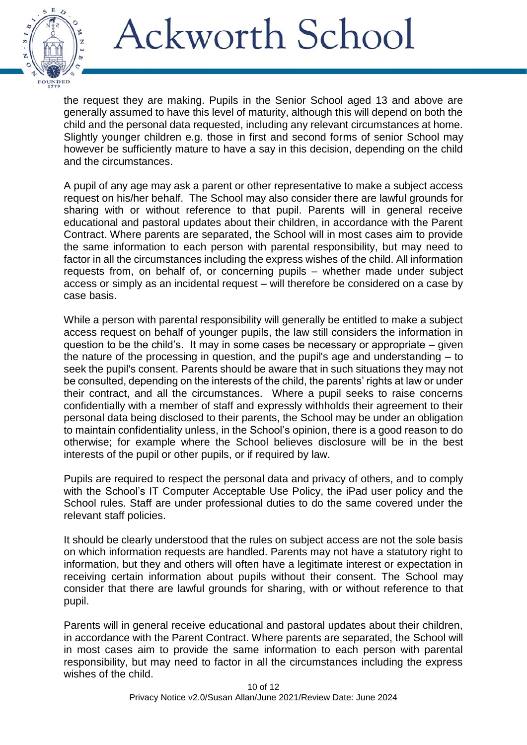

the request they are making. Pupils in the Senior School aged 13 and above are generally assumed to have this level of maturity, although this will depend on both the child and the personal data requested, including any relevant circumstances at home. Slightly younger children e.g. those in first and second forms of senior School may however be sufficiently mature to have a say in this decision, depending on the child and the circumstances.

A pupil of any age may ask a parent or other representative to make a subject access request on his/her behalf. The School may also consider there are lawful grounds for sharing with or without reference to that pupil. Parents will in general receive educational and pastoral updates about their children, in accordance with the Parent Contract. Where parents are separated, the School will in most cases aim to provide the same information to each person with parental responsibility, but may need to factor in all the circumstances including the express wishes of the child. All information requests from, on behalf of, or concerning pupils – whether made under subject access or simply as an incidental request – will therefore be considered on a case by case basis.

While a person with parental responsibility will generally be entitled to make a subject access request on behalf of younger pupils, the law still considers the information in question to be the child's. It may in some cases be necessary or appropriate  $-$  given the nature of the processing in question, and the pupil's age and understanding – to seek the pupil's consent. Parents should be aware that in such situations they may not be consulted, depending on the interests of the child, the parents' rights at law or under their contract, and all the circumstances. Where a pupil seeks to raise concerns confidentially with a member of staff and expressly withholds their agreement to their personal data being disclosed to their parents, the School may be under an obligation to maintain confidentiality unless, in the School's opinion, there is a good reason to do otherwise; for example where the School believes disclosure will be in the best interests of the pupil or other pupils, or if required by law.

Pupils are required to respect the personal data and privacy of others, and to comply with the School's IT Computer Acceptable Use Policy, the iPad user policy and the School rules. Staff are under professional duties to do the same covered under the relevant staff policies.

It should be clearly understood that the rules on subject access are not the sole basis on which information requests are handled. Parents may not have a statutory right to information, but they and others will often have a legitimate interest or expectation in receiving certain information about pupils without their consent. The School may consider that there are lawful grounds for sharing, with or without reference to that pupil.

Parents will in general receive educational and pastoral updates about their children, in accordance with the Parent Contract. Where parents are separated, the School will in most cases aim to provide the same information to each person with parental responsibility, but may need to factor in all the circumstances including the express wishes of the child.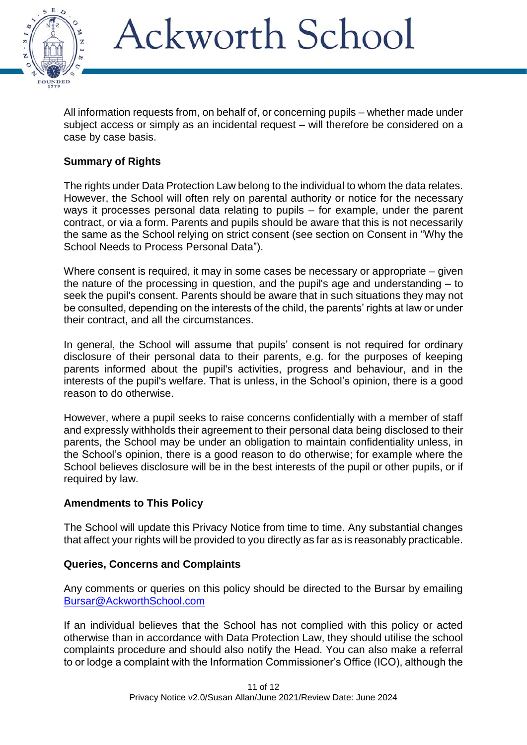

All information requests from, on behalf of, or concerning pupils – whether made under subject access or simply as an incidental request – will therefore be considered on a case by case basis.

### **Summary of Rights**

The rights under Data Protection Law belong to the individual to whom the data relates. However, the School will often rely on parental authority or notice for the necessary ways it processes personal data relating to pupils – for example, under the parent contract, or via a form. Parents and pupils should be aware that this is not necessarily the same as the School relying on strict consent (see section on Consent in "Why the School Needs to Process Personal Data").

Where consent is required, it may in some cases be necessary or appropriate – given the nature of the processing in question, and the pupil's age and understanding – to seek the pupil's consent. Parents should be aware that in such situations they may not be consulted, depending on the interests of the child, the parents' rights at law or under their contract, and all the circumstances.

In general, the School will assume that pupils' consent is not required for ordinary disclosure of their personal data to their parents, e.g. for the purposes of keeping parents informed about the pupil's activities, progress and behaviour, and in the interests of the pupil's welfare. That is unless, in the School's opinion, there is a good reason to do otherwise.

However, where a pupil seeks to raise concerns confidentially with a member of staff and expressly withholds their agreement to their personal data being disclosed to their parents, the School may be under an obligation to maintain confidentiality unless, in the School's opinion, there is a good reason to do otherwise; for example where the School believes disclosure will be in the best interests of the pupil or other pupils, or if required by law.

### **Amendments to This Policy**

The School will update this Privacy Notice from time to time. Any substantial changes that affect your rights will be provided to you directly as far as is reasonably practicable.

### **Queries, Concerns and Complaints**

Any comments or queries on this policy should be directed to the Bursar by emailing [Bursar@AckworthSchool.com](mailto:Bursar@Ackworthschool.com)

If an individual believes that the School has not complied with this policy or acted otherwise than in accordance with Data Protection Law, they should utilise the school complaints procedure and should also notify the Head. You can also make a referral to or lodge a complaint with the Information Commissioner's Office (ICO), although the